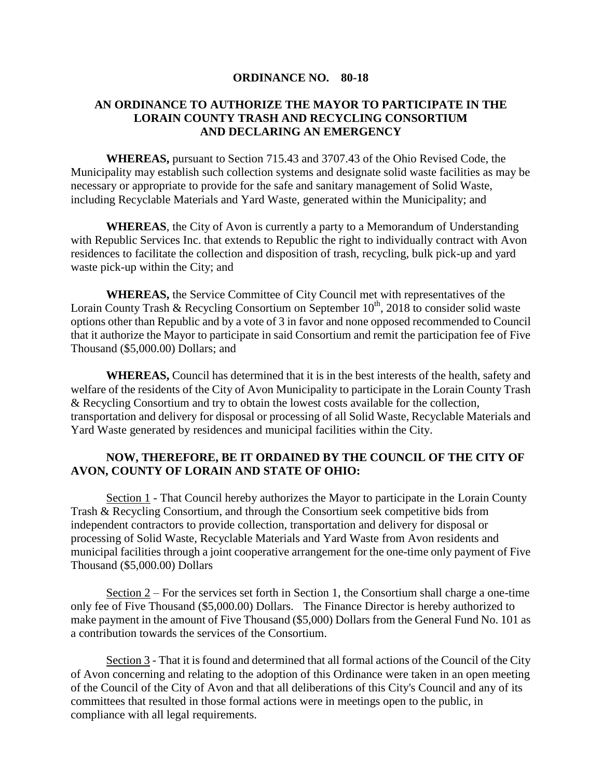## **ORDINANCE NO. 80-18**

## **AN ORDINANCE TO AUTHORIZE THE MAYOR TO PARTICIPATE IN THE LORAIN COUNTY TRASH AND RECYCLING CONSORTIUM AND DECLARING AN EMERGENCY**

**WHEREAS,** pursuant to Section 715.43 and 3707.43 of the Ohio Revised Code, the Municipality may establish such collection systems and designate solid waste facilities as may be necessary or appropriate to provide for the safe and sanitary management of Solid Waste, including Recyclable Materials and Yard Waste, generated within the Municipality; and

**WHEREAS**, the City of Avon is currently a party to a Memorandum of Understanding with Republic Services Inc. that extends to Republic the right to individually contract with Avon residences to facilitate the collection and disposition of trash, recycling, bulk pick-up and yard waste pick-up within the City; and

**WHEREAS,** the Service Committee of City Council met with representatives of the Lorain County Trash & Recycling Consortium on September  $10<sup>th</sup>$ , 2018 to consider solid waste options other than Republic and by a vote of 3 in favor and none opposed recommended to Council that it authorize the Mayor to participate in said Consortium and remit the participation fee of Five Thousand (\$5,000.00) Dollars; and

**WHEREAS,** Council has determined that it is in the best interests of the health, safety and welfare of the residents of the City of Avon Municipality to participate in the Lorain County Trash & Recycling Consortium and try to obtain the lowest costs available for the collection, transportation and delivery for disposal or processing of all Solid Waste, Recyclable Materials and Yard Waste generated by residences and municipal facilities within the City.

## **NOW, THEREFORE, BE IT ORDAINED BY THE COUNCIL OF THE CITY OF AVON, COUNTY OF LORAIN AND STATE OF OHIO:**

Section 1 - That Council hereby authorizes the Mayor to participate in the Lorain County Trash & Recycling Consortium, and through the Consortium seek competitive bids from independent contractors to provide collection, transportation and delivery for disposal or processing of Solid Waste, Recyclable Materials and Yard Waste from Avon residents and municipal facilities through a joint cooperative arrangement for the one-time only payment of Five Thousand (\$5,000.00) Dollars

Section 2 – For the services set forth in Section 1, the Consortium shall charge a one-time only fee of Five Thousand (\$5,000.00) Dollars. The Finance Director is hereby authorized to make payment in the amount of Five Thousand (\$5,000) Dollars from the General Fund No. 101 as a contribution towards the services of the Consortium.

Section 3 - That it is found and determined that all formal actions of the Council of the City of Avon concerning and relating to the adoption of this Ordinance were taken in an open meeting of the Council of the City of Avon and that all deliberations of this City's Council and any of its committees that resulted in those formal actions were in meetings open to the public, in compliance with all legal requirements.